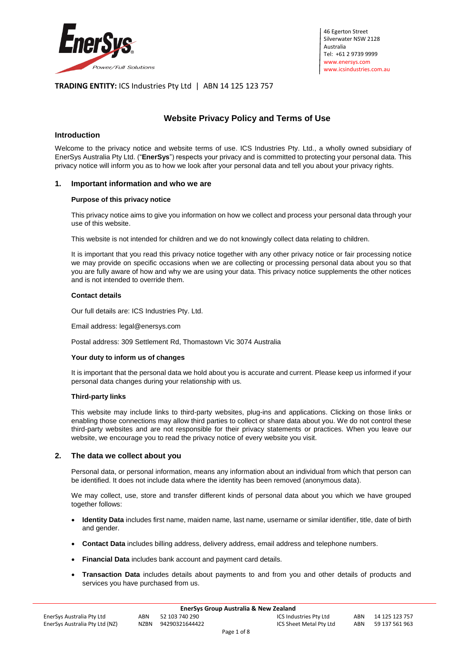

## **TRADING ENTITY:** ICS Industries Pty Ltd | ABN 14 125 123 757

# **Website Privacy Policy and Terms of Use**

## **Introduction**

Welcome to the privacy notice and website terms of use. ICS Industries Pty. Ltd., a wholly owned subsidiary of EnerSys Australia Pty Ltd. ("**EnerSys**") respects your privacy and is committed to protecting your personal data. This privacy notice will inform you as to how we look after your personal data and tell you about your privacy rights.

## **1. Important information and who we are**

#### **Purpose of this privacy notice**

This privacy notice aims to give you information on how we collect and process your personal data through your use of this website.

This website is not intended for children and we do not knowingly collect data relating to children.

It is important that you read this privacy notice together with any other privacy notice or fair processing notice we may provide on specific occasions when we are collecting or processing personal data about you so that you are fully aware of how and why we are using your data. This privacy notice supplements the other notices and is not intended to override them.

#### <span id="page-0-0"></span>**Contact details**

Our full details are: ICS Industries Pty. Ltd.

Email address: legal@enersys.com

Postal address: 309 Settlement Rd, Thomastown Vic 3074 Australia

## **Your duty to inform us of changes**

It is important that the personal data we hold about you is accurate and current. Please keep us informed if your personal data changes during your relationship with us.

## **Third-party links**

This website may include links to third-party websites, plug-ins and applications. Clicking on those links or enabling those connections may allow third parties to collect or share data about you. We do not control these third-party websites and are not responsible for their privacy statements or practices. When you leave our website, we encourage you to read the privacy notice of every website you visit.

## **2. The data we collect about you**

Personal data, or personal information, means any information about an individual from which that person can be identified. It does not include data where the identity has been removed (anonymous data).

We may collect, use, store and transfer different kinds of personal data about you which we have grouped together follows:

- **Identity Data** includes first name, maiden name, last name, username or similar identifier, title, date of birth and gender.
- **Contact Data** includes billing address, delivery address, email address and telephone numbers.
- **Financial Data** includes bank account and payment card details.
- **Transaction Data** includes details about payments to and from you and other details of products and services you have purchased from us.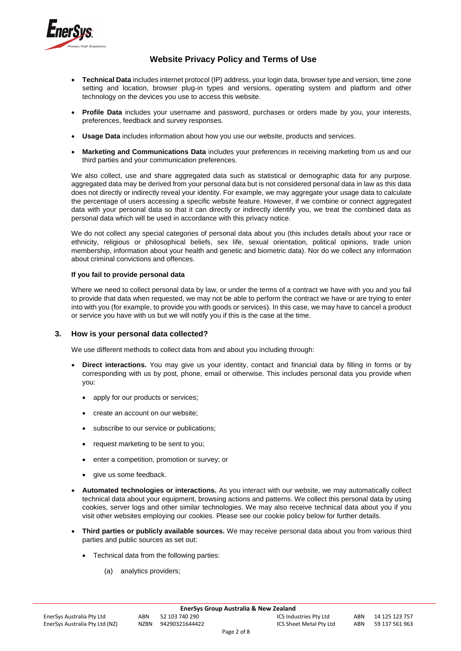

- **Technical Data** includes internet protocol (IP) address, your login data, browser type and version, time zone setting and location, browser plug-in types and versions, operating system and platform and other technology on the devices you use to access this website.
- **Profile Data** includes your username and password, purchases or orders made by you, your interests, preferences, feedback and survey responses.
- **Usage Data** includes information about how you use our website, products and services.
- **Marketing and Communications Data** includes your preferences in receiving marketing from us and our third parties and your communication preferences.

We also collect, use and share aggregated data such as statistical or demographic data for any purpose. aggregated data may be derived from your personal data but is not considered personal data in law as this data does not directly or indirectly reveal your identity. For example, we may aggregate your usage data to calculate the percentage of users accessing a specific website feature. However, if we combine or connect aggregated data with your personal data so that it can directly or indirectly identify you, we treat the combined data as personal data which will be used in accordance with this privacy notice.

We do not collect any special categories of personal data about you (this includes details about your race or ethnicity, religious or philosophical beliefs, sex life, sexual orientation, political opinions, trade union membership, information about your health and genetic and biometric data). Nor do we collect any information about criminal convictions and offences.

#### **If you fail to provide personal data**

Where we need to collect personal data by law, or under the terms of a contract we have with you and you fail to provide that data when requested, we may not be able to perform the contract we have or are trying to enter into with you (for example, to provide you with goods or services). In this case, we may have to cancel a product or service you have with us but we will notify you if this is the case at the time.

## **3. How is your personal data collected?**

We use different methods to collect data from and about you including through:

- **Direct interactions.** You may give us your identity, contact and financial data by filling in forms or by corresponding with us by post, phone, email or otherwise. This includes personal data you provide when you:
	- apply for our products or services;
	- create an account on our website;
	- subscribe to our service or publications:
	- request marketing to be sent to you;
	- enter a competition, promotion or survey; or
	- give us some feedback.
- **Automated technologies or interactions.** As you interact with our website, we may automatically collect technical data about your equipment, browsing actions and patterns. We collect this personal data by using cookies, server logs and other similar technologies. We may also receive technical data about you if you visit other websites employing our cookies. Please see our cookie policy below for further details.
- **Third parties or publicly available sources.** We may receive personal data about you from various third parties and public sources as set out:
	- Technical data from the following parties:
		- (a) analytics providers;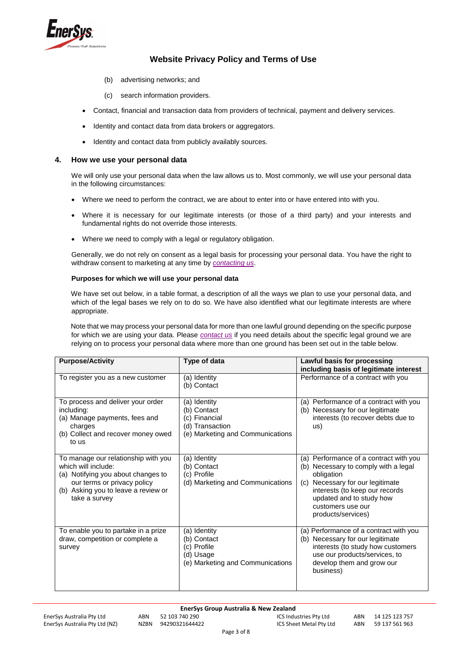

- (b) advertising networks; and
- (c) search information providers.
- Contact, financial and transaction data from providers of technical, payment and delivery services.
- Identity and contact data from data brokers or aggregators.
- Identity and contact data from publicly availably sources.

#### **4. How we use your personal data**

We will only use your personal data when the law allows us to. Most commonly, we will use your personal data in the following circumstances:

- Where we need to perform the contract, we are about to enter into or have entered into with you.
- Where it is necessary for our legitimate interests (or those of a third party) and your interests and fundamental rights do not override those interests.
- Where we need to comply with a legal or regulatory obligation.

Generally, we do not rely on consent as a legal basis for processing your personal data. You have the right to withdraw consent to marketing at any time by *[contacting us](#page-0-0)*.

#### **Purposes for which we will use your personal data**

We have set out below, in a table format, a description of all the ways we plan to use your personal data, and which of the legal bases we rely on to do so. We have also identified what our legitimate interests are where appropriate.

Note that we may process your personal data for more than one lawful ground depending on the specific purpose for which we are using your data. Please *[contact us](#page-0-0)* if you need details about the specific legal ground we are relying on to process your personal data where more than one ground has been set out in the table below.

| <b>Purpose/Activity</b>                                                                                                                                                                 | Type of data                                                                                        | Lawful basis for processing<br>including basis of legitimate interest                                                                                                                                                                        |
|-----------------------------------------------------------------------------------------------------------------------------------------------------------------------------------------|-----------------------------------------------------------------------------------------------------|----------------------------------------------------------------------------------------------------------------------------------------------------------------------------------------------------------------------------------------------|
| To register you as a new customer                                                                                                                                                       | (a) Identity<br>(b) Contact                                                                         | Performance of a contract with you                                                                                                                                                                                                           |
| To process and deliver your order<br>including:<br>(a) Manage payments, fees and<br>charges<br>(b) Collect and recover money owed<br>to us                                              | (a) Identity<br>(b) Contact<br>(c) Financial<br>(d) Transaction<br>(e) Marketing and Communications | (a) Performance of a contract with you<br>(b) Necessary for our legitimate<br>interests (to recover debts due to<br>us)                                                                                                                      |
| To manage our relationship with you<br>which will include:<br>(a) Notifying you about changes to<br>our terms or privacy policy<br>(b) Asking you to leave a review or<br>take a survey | (a) Identity<br>(b) Contact<br>(c) Profile<br>(d) Marketing and Communications                      | (a) Performance of a contract with you<br>(b) Necessary to comply with a legal<br>obligation<br>Necessary for our legitimate<br>(c)<br>interests (to keep our records<br>updated and to study how<br>customers use our<br>products/services) |
| To enable you to partake in a prize<br>draw, competition or complete a<br>survey                                                                                                        | (a) Identity<br>(b) Contact<br>(c) Profile<br>(d) Usage<br>(e) Marketing and Communications         | (a) Performance of a contract with you<br>(b) Necessary for our legitimate<br>interests (to study how customers<br>use our products/services, to<br>develop them and grow our<br>business)                                                   |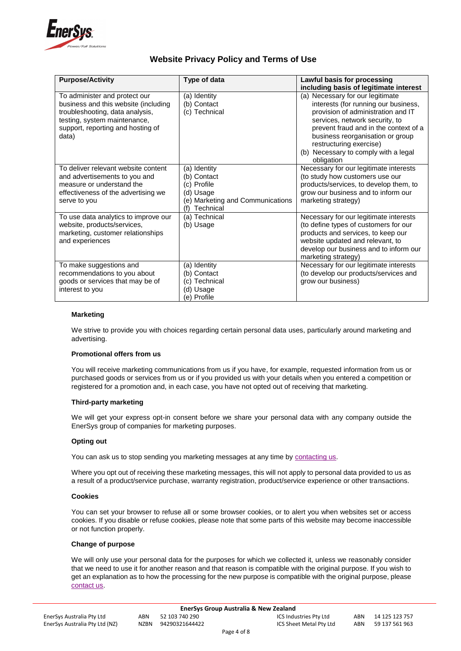

|                                      | Type of data                     |                                        |
|--------------------------------------|----------------------------------|----------------------------------------|
| <b>Purpose/Activity</b>              |                                  | Lawful basis for processing            |
|                                      |                                  | including basis of legitimate interest |
| To administer and protect our        | (a) Identity                     | (a) Necessary for our legitimate       |
| business and this website (including | (b) Contact                      | interests (for running our business,   |
| troubleshooting, data analysis,      | (c) Technical                    | provision of administration and IT     |
| testing, system maintenance,         |                                  | services, network security, to         |
| support, reporting and hosting of    |                                  | prevent fraud and in the context of a  |
| data)                                |                                  | business reorganisation or group       |
|                                      |                                  | restructuring exercise)                |
|                                      |                                  | (b) Necessary to comply with a legal   |
|                                      |                                  | obligation                             |
| To deliver relevant website content  | (a) Identity                     | Necessary for our legitimate interests |
| and advertisements to you and        | (b) Contact                      | (to study how customers use our        |
| measure or understand the            | (c) Profile                      | products/services, to develop them, to |
| effectiveness of the advertising we  | (d) Usage                        | grow our business and to inform our    |
| serve to you                         | (e) Marketing and Communications | marketing strategy)                    |
|                                      | Technical<br>(f)                 |                                        |
| To use data analytics to improve our | (a) Technical                    | Necessary for our legitimate interests |
| website, products/services,          | (b) Usage                        | (to define types of customers for our  |
| marketing, customer relationships    |                                  | products and services, to keep our     |
| and experiences                      |                                  | website updated and relevant, to       |
|                                      |                                  | develop our business and to inform our |
|                                      |                                  | marketing strategy)                    |
| To make suggestions and              | (a) Identity                     | Necessary for our legitimate interests |
| recommendations to you about         | (b) Contact                      | (to develop our products/services and  |
| goods or services that may be of     | (c) Technical                    | grow our business)                     |
| interest to you                      | (d) Usage                        |                                        |
|                                      | (e) Profile                      |                                        |

#### **Marketing**

We strive to provide you with choices regarding certain personal data uses, particularly around marketing and advertising.

#### **Promotional offers from us**

You will receive marketing communications from us if you have, for example, requested information from us or purchased goods or services from us or if you provided us with your details when you entered a competition or registered for a promotion and, in each case, you have not opted out of receiving that marketing.

#### **Third-party marketing**

We will get your express opt-in consent before we share your personal data with any company outside the EnerSys group of companies for marketing purposes.

#### **Opting out**

You can ask us to stop sending you marketing messages at any time by [contacting us.](#page-0-0)

Where you opt out of receiving these marketing messages, this will not apply to personal data provided to us as a result of a product/service purchase, warranty registration, product/service experience or other transactions.

#### **Cookies**

You can set your browser to refuse all or some browser cookies, or to alert you when websites set or access cookies. If you disable or refuse cookies, please note that some parts of this website may become inaccessible or not function properly.

#### **Change of purpose**

We will only use your personal data for the purposes for which we collected it, unless we reasonably consider that we need to use it for another reason and that reason is compatible with the original purpose. If you wish to get an explanation as to how the processing for the new purpose is compatible with the original purpose, please [contact us.](#page-0-0)

|                                |      |                | EnerSys Group Australia & New Zealand |     |                |
|--------------------------------|------|----------------|---------------------------------------|-----|----------------|
| EnerSys Australia Pty Ltd      | ABN  | 52 103 740 290 | ICS Industries Pty Ltd                | ABN | 14 125 123 757 |
| EnerSys Australia Pty Ltd (NZ) | NZBN | 94290321644422 | ICS Sheet Metal Pty Ltd               | ABN | 59 137 561 963 |
|                                |      |                | Page 4 of 8                           |     |                |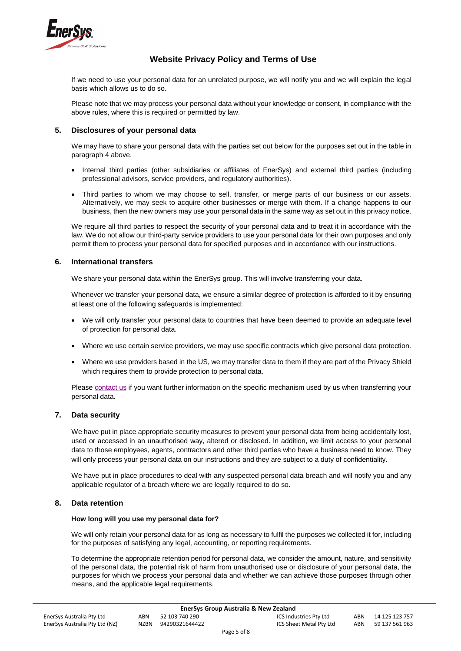

If we need to use your personal data for an unrelated purpose, we will notify you and we will explain the legal basis which allows us to do so.

Please note that we may process your personal data without your knowledge or consent, in compliance with the above rules, where this is required or permitted by law.

## **5. Disclosures of your personal data**

We may have to share your personal data with the parties set out below for the purposes set out in the table in paragraph 4 above.

- Internal third parties (other subsidiaries or affiliates of EnerSys) and external third parties (including professional advisors, service providers, and regulatory authorities).
- Third parties to whom we may choose to sell, transfer, or merge parts of our business or our assets. Alternatively, we may seek to acquire other businesses or merge with them. If a change happens to our business, then the new owners may use your personal data in the same way as set out in this privacy notice.

We require all third parties to respect the security of your personal data and to treat it in accordance with the law. We do not allow our third-party service providers to use your personal data for their own purposes and only permit them to process your personal data for specified purposes and in accordance with our instructions.

## **6. International transfers**

We share your personal data within the EnerSys group. This will involve transferring your data.

Whenever we transfer your personal data, we ensure a similar degree of protection is afforded to it by ensuring at least one of the following safeguards is implemented:

- We will only transfer your personal data to countries that have been deemed to provide an adequate level of protection for personal data.
- Where we use certain service providers, we may use specific contracts which give personal data protection.
- Where we use providers based in the US, we may transfer data to them if they are part of the Privacy Shield which requires them to provide protection to personal data.

Please [contact us](#page-0-0) if you want further information on the specific mechanism used by us when transferring your personal data.

## **7. Data security**

We have put in place appropriate security measures to prevent your personal data from being accidentally lost, used or accessed in an unauthorised way, altered or disclosed. In addition, we limit access to your personal data to those employees, agents, contractors and other third parties who have a business need to know. They will only process your personal data on our instructions and they are subject to a duty of confidentiality.

We have put in place procedures to deal with any suspected personal data breach and will notify you and any applicable regulator of a breach where we are legally required to do so.

#### **8. Data retention**

#### **How long will you use my personal data for?**

We will only retain your personal data for as long as necessary to fulfil the purposes we collected it for, including for the purposes of satisfying any legal, accounting, or reporting requirements.

To determine the appropriate retention period for personal data, we consider the amount, nature, and sensitivity of the personal data, the potential risk of harm from unauthorised use or disclosure of your personal data, the purposes for which we process your personal data and whether we can achieve those purposes through other means, and the applicable legal requirements.

|                                |      |                | EnerSys Group Australia & New Zealand |                         |     |                |
|--------------------------------|------|----------------|---------------------------------------|-------------------------|-----|----------------|
| EnerSys Australia Pty Ltd      | ABN  | 52 103 740 290 |                                       | ICS Industries Pty Ltd  | ABN | 14 125 123 757 |
| EnerSys Australia Pty Ltd (NZ) | NZBN | 94290321644422 |                                       | ICS Sheet Metal Pty Ltd | ABN | 59 137 561 963 |
|                                |      |                | Page 5 of 8                           |                         |     |                |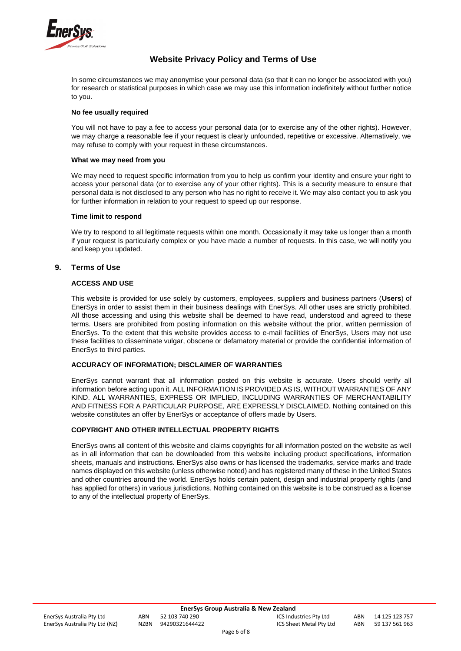

In some circumstances we may anonymise your personal data (so that it can no longer be associated with you) for research or statistical purposes in which case we may use this information indefinitely without further notice to you.

#### **No fee usually required**

You will not have to pay a fee to access your personal data (or to exercise any of the other rights). However, we may charge a reasonable fee if your request is clearly unfounded, repetitive or excessive. Alternatively, we may refuse to comply with your request in these circumstances.

#### **What we may need from you**

We may need to request specific information from you to help us confirm your identity and ensure your right to access your personal data (or to exercise any of your other rights). This is a security measure to ensure that personal data is not disclosed to any person who has no right to receive it. We may also contact you to ask you for further information in relation to your request to speed up our response.

#### **Time limit to respond**

We try to respond to all legitimate requests within one month. Occasionally it may take us longer than a month if your request is particularly complex or you have made a number of requests. In this case, we will notify you and keep you updated.

## **9. Terms of Use**

## **ACCESS AND USE**

This website is provided for use solely by customers, employees, suppliers and business partners (**Users**) of EnerSys in order to assist them in their business dealings with EnerSys. All other uses are strictly prohibited. All those accessing and using this website shall be deemed to have read, understood and agreed to these terms. Users are prohibited from posting information on this website without the prior, written permission of EnerSys. To the extent that this website provides access to e-mail facilities of EnerSys, Users may not use these facilities to disseminate vulgar, obscene or defamatory material or provide the confidential information of EnerSys to third parties.

## **ACCURACY OF INFORMATION; DISCLAIMER OF WARRANTIES**

EnerSys cannot warrant that all information posted on this website is accurate. Users should verify all information before acting upon it. ALL INFORMATION IS PROVIDED AS IS, WITHOUT WARRANTIES OF ANY KIND. ALL WARRANTIES, EXPRESS OR IMPLIED, INCLUDING WARRANTIES OF MERCHANTABILITY AND FITNESS FOR A PARTICULAR PURPOSE, ARE EXPRESSLY DISCLAIMED. Nothing contained on this website constitutes an offer by EnerSys or acceptance of offers made by Users.

## **COPYRIGHT AND OTHER INTELLECTUAL PROPERTY RIGHTS**

EnerSys owns all content of this website and claims copyrights for all information posted on the website as well as in all information that can be downloaded from this website including product specifications, information sheets, manuals and instructions. EnerSys also owns or has licensed the trademarks, service marks and trade names displayed on this website (unless otherwise noted) and has registered many of these in the United States and other countries around the world. EnerSys holds certain patent, design and industrial property rights (and has applied for others) in various jurisdictions. Nothing contained on this website is to be construed as a license to any of the intellectual property of EnerSys.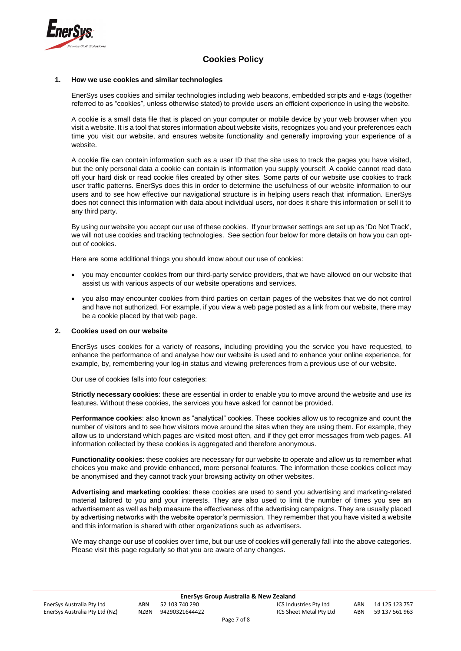

# **Cookies Policy**

#### **1. How we use cookies and similar technologies**

EnerSys uses cookies and similar technologies including web beacons, embedded scripts and e-tags (together referred to as "cookies", unless otherwise stated) to provide users an efficient experience in using the website.

A cookie is a small data file that is placed on your computer or mobile device by your web browser when you visit a website. It is a tool that stores information about website visits, recognizes you and your preferences each time you visit our website, and ensures website functionality and generally improving your experience of a website.

A cookie file can contain information such as a user ID that the site uses to track the pages you have visited, but the only personal data a cookie can contain is information you supply yourself. A cookie cannot read data off your hard disk or read cookie files created by other sites. Some parts of our website use cookies to track user traffic patterns. EnerSys does this in order to determine the usefulness of our website information to our users and to see how effective our navigational structure is in helping users reach that information. EnerSys does not connect this information with data about individual users, nor does it share this information or sell it to any third party.

By using our website you accept our use of these cookies. If your browser settings are set up as 'Do Not Track', we will not use cookies and tracking technologies. See section four below for more details on how you can optout of cookies.

Here are some additional things you should know about our use of cookies:

- you may encounter cookies from our third-party service providers, that we have allowed on our website that assist us with various aspects of our website operations and services.
- you also may encounter cookies from third parties on certain pages of the websites that we do not control and have not authorized. For example, if you view a web page posted as a link from our website, there may be a cookie placed by that web page.

#### **2. Cookies used on our website**

EnerSys uses cookies for a variety of reasons, including providing you the service you have requested, to enhance the performance of and analyse how our website is used and to enhance your online experience, for example, by, remembering your log-in status and viewing preferences from a previous use of our website.

Our use of cookies falls into four categories:

**Strictly necessary cookies**: these are essential in order to enable you to move around the website and use its features. Without these cookies, the services you have asked for cannot be provided.

**Performance cookies**: also known as "analytical" cookies. These cookies allow us to recognize and count the number of visitors and to see how visitors move around the sites when they are using them. For example, they allow us to understand which pages are visited most often, and if they get error messages from web pages. All information collected by these cookies is aggregated and therefore anonymous.

**Functionality cookies**: these cookies are necessary for our website to operate and allow us to remember what choices you make and provide enhanced, more personal features. The information these cookies collect may be anonymised and they cannot track your browsing activity on other websites.

**Advertising and marketing cookies**: these cookies are used to send you advertising and marketing-related material tailored to you and your interests. They are also used to limit the number of times you see an advertisement as well as help measure the effectiveness of the advertising campaigns. They are usually placed by advertising networks with the website operator's permission. They remember that you have visited a website and this information is shared with other organizations such as advertisers.

We may change our use of cookies over time, but our use of cookies will generally fall into the above categories. Please visit this page regularly so that you are aware of any changes.